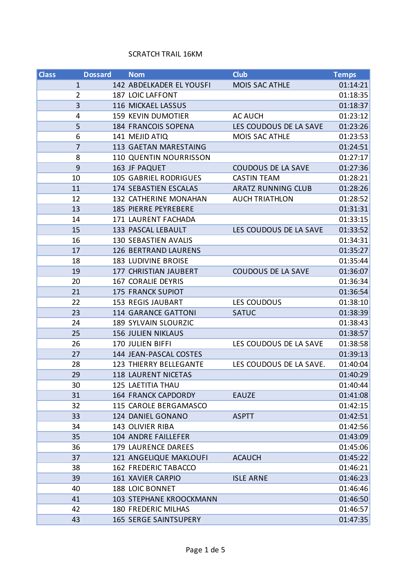## SCRATCH TRAIL 16KM

| <b>Class</b>   | <b>Dossard</b> | <b>Nom</b>                     | <b>Club</b>               | <b>Temps</b> |
|----------------|----------------|--------------------------------|---------------------------|--------------|
| $\mathbf{1}$   |                | 142 ABDELKADER EL YOUSFI       | <b>MOIS SAC ATHLE</b>     | 01:14:21     |
| $\overline{2}$ |                | 187 LOIC LAFFONT               |                           | 01:18:35     |
| 3              |                | 116 MICKAEL LASSUS             |                           | 01:18:37     |
| 4              |                | 159 KEVIN DUMOTIER             | <b>AC AUCH</b>            | 01:23:12     |
| 5              |                | 184 FRANCOIS SOPENA            | LES COUDOUS DE LA SAVE    | 01:23:26     |
| 6              |                | 141 MEJID ATIQ                 | MOIS SAC ATHLE            | 01:23:53     |
| $\overline{7}$ |                | 113 GAETAN MARESTAING          |                           | 01:24:51     |
| 8              |                | 110 QUENTIN NOURRISSON         |                           | 01:27:17     |
| 9              |                | 163 JF PAQUET                  | <b>COUDOUS DE LA SAVE</b> | 01:27:36     |
| 10             |                | <b>105 GABRIEL RODRIGUES</b>   | <b>CASTIN TEAM</b>        | 01:28:21     |
| 11             |                | 174 SEBASTIEN ESCALAS          | <b>ARATZ RUNNING CLUB</b> | 01:28:26     |
| 12             |                | 132 CATHERINE MONAHAN          | <b>AUCH TRIATHLON</b>     | 01:28:52     |
| 13             |                | 185 PIERRE PEYREBERE           |                           | 01:31:31     |
| 14             |                | 171 LAURENT FACHADA            |                           | 01:33:15     |
| 15             |                | 133 PASCAL LEBAULT             | LES COUDOUS DE LA SAVE    | 01:33:52     |
| 16             |                | 130 SEBASTIEN AVALIS           |                           | 01:34:31     |
| 17             |                | <b>126 BERTRAND LAURENS</b>    |                           | 01:35:27     |
| 18             |                | 183 LUDIVINE BROISE            |                           | 01:35:44     |
| 19             |                | 177 CHRISTIAN JAUBERT          | <b>COUDOUS DE LA SAVE</b> | 01:36:07     |
| 20             |                | 167 CORALIE DEYRIS             |                           | 01:36:34     |
| 21             |                | <b>175 FRANCK SUPIOT</b>       |                           | 01:36:54     |
| 22             |                | <b>153 REGIS JAUBART</b>       | LES COUDOUS               | 01:38:10     |
| 23             |                | <b>114 GARANCE GATTONI</b>     | <b>SATUC</b>              | 01:38:39     |
| 24             |                | 189 SYLVAIN SLOURZIC           |                           | 01:38:43     |
| 25             |                | <b>156 JULIEN NIKLAUS</b>      |                           | 01:38:57     |
| 26             |                | 170 JULIEN BIFFI               | LES COUDOUS DE LA SAVE    | 01:38:58     |
| 27             |                | 144 JEAN-PASCAL COSTES         |                           | 01:39:13     |
| 28             |                | 123 THIERRY BELLEGANTE         | LES COUDOUS DE LA SAVE.   | 01:40:04     |
| 29             |                | <b>118 LAURENT NICETAS</b>     |                           | 01:40:29     |
| 30             |                | <b>125 LAETITIA THAU</b>       |                           | 01:40:44     |
| 31             |                | <b>164 FRANCK CAPDORDY</b>     | <b>EAUZE</b>              | 01:41:08     |
| 32             |                | 115 CAROLE BERGAMASCO          |                           | 01:42:15     |
| 33             |                | 124 DANIEL GONANO              | <b>ASPTT</b>              | 01:42:51     |
| 34             |                | 143 OLIVIER RIBA               |                           | 01:42:56     |
| 35             |                | 104 ANDRE FAILLEFER            |                           | 01:43:09     |
| 36             |                | 179 LAURENCE DAREES            |                           | 01:45:06     |
| 37             |                | 121 ANGELIQUE MAKLOUFI         | <b>ACAUCH</b>             | 01:45:22     |
| 38             |                | <b>162 FREDERIC TABACCO</b>    |                           | 01:46:21     |
| 39             |                | <b>161 XAVIER CARPIO</b>       | <b>ISLE ARNE</b>          | 01:46:23     |
| 40             |                | 188 LOIC BONNET                |                           | 01:46:46     |
| 41             |                | <b>103 STEPHANE KROOCKMANN</b> |                           | 01:46:50     |
| 42             |                | 180 FREDERIC MILHAS            |                           | 01:46:57     |
| 43             |                | <b>165 SERGE SAINTSUPERY</b>   |                           | 01:47:35     |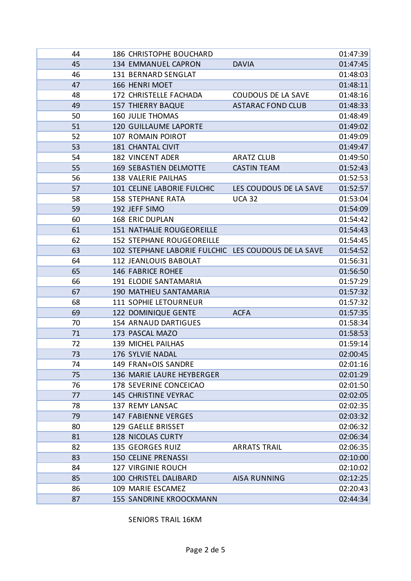| 44 | 186 CHRISTOPHE BOUCHARD                             |                           | 01:47:39 |
|----|-----------------------------------------------------|---------------------------|----------|
| 45 | 134 EMMANUEL CAPRON                                 | <b>DAVIA</b>              |          |
| 46 | 131 BERNARD SENGLAT                                 |                           |          |
| 47 | 166 HENRI MOET                                      |                           |          |
| 48 | 172 CHRISTELLE FACHADA                              | <b>COUDOUS DE LA SAVE</b> | 01:48:16 |
| 49 | <b>157 THIERRY BAQUE</b>                            | <b>ASTARAC FOND CLUB</b>  | 01:48:33 |
| 50 | <b>160 JULIE THOMAS</b>                             |                           | 01:48:49 |
| 51 | <b>120 GUILLAUME LAPORTE</b>                        |                           | 01:49:02 |
| 52 | 107 ROMAIN POIROT                                   |                           | 01:49:09 |
| 53 | <b>181 CHANTAL CIVIT</b>                            |                           | 01:49:47 |
| 54 | <b>182 VINCENT ADER</b>                             | <b>ARATZ CLUB</b>         | 01:49:50 |
| 55 | <b>169 SEBASTIEN DELMOTTE</b>                       | <b>CASTIN TEAM</b>        | 01:52:43 |
| 56 | <b>138 VALERIE PAILHAS</b>                          |                           | 01:52:53 |
| 57 | 101 CELINE LABORIE FULCHIC                          | LES COUDOUS DE LA SAVE    | 01:52:57 |
| 58 | <b>158 STEPHANE RATA</b>                            | <b>UCA 32</b>             | 01:53:04 |
| 59 | 192 JEFF SIMO                                       |                           | 01:54:09 |
| 60 | <b>168 ERIC DUPLAN</b>                              |                           | 01:54:42 |
| 61 | <b>151 NATHALIE ROUGEOREILLE</b>                    |                           | 01:54:43 |
| 62 | <b>152 STEPHANE ROUGEOREILLE</b>                    |                           | 01:54:45 |
| 63 | 102 STEPHANE LABORIE FULCHIC LES COUDOUS DE LA SAVE |                           | 01:54:52 |
| 64 | 112 JEANLOUIS BABOLAT                               |                           | 01:56:31 |
| 65 | <b>146 FABRICE ROHEE</b>                            |                           | 01:56:50 |
| 66 | 191 ELODIE SANTAMARIA                               |                           | 01:57:29 |
| 67 | 190 MATHIEU SANTAMARIA                              |                           | 01:57:32 |
| 68 | 111 SOPHIE LETOURNEUR                               |                           | 01:57:32 |
| 69 | 122 DOMINIQUE GENTE                                 | <b>ACFA</b>               | 01:57:35 |
| 70 | 154 ARNAUD DARTIGUES                                |                           | 01:58:34 |
| 71 | 173 PASCAL MAZO                                     |                           | 01:58:53 |
| 72 | 139 MICHEL PAILHAS                                  |                           | 01:59:14 |
| 73 | 176 SYLVIE NADAL                                    |                           | 02:00:45 |
| 74 | 149 FRAN«OIS SANDRE                                 |                           | 02:01:16 |
| 75 | 136 MARIE LAURE HEYBERGER                           |                           | 02:01:29 |
| 76 | 178 SEVERINE CONCEICAO                              |                           | 02:01:50 |
| 77 | 145 CHRISTINE VEYRAC                                |                           | 02:02:05 |
| 78 | 137 REMY LANSAC                                     |                           |          |
| 79 | <b>147 FABIENNE VERGES</b>                          |                           |          |
| 80 | 129 GAELLE BRISSET                                  |                           |          |
| 81 | <b>128 NICOLAS CURTY</b>                            |                           | 02:06:34 |
| 82 | 135 GEORGES RUIZ                                    | <b>ARRATS TRAIL</b>       | 02:06:35 |
| 83 | <b>150 CELINE PRENASSI</b>                          |                           | 02:10:00 |
| 84 | <b>127 VIRGINIE ROUCH</b>                           |                           | 02:10:02 |
| 85 | 100 CHRISTEL DALIBARD                               | <b>AISA RUNNING</b>       | 02:12:25 |
| 86 | 109 MARIE ESCAMEZ                                   |                           | 02:20:43 |
| 87 | <b>155 SANDRINE KROOCKMANN</b>                      |                           | 02:44:34 |

## SENIORS TRAIL 16KM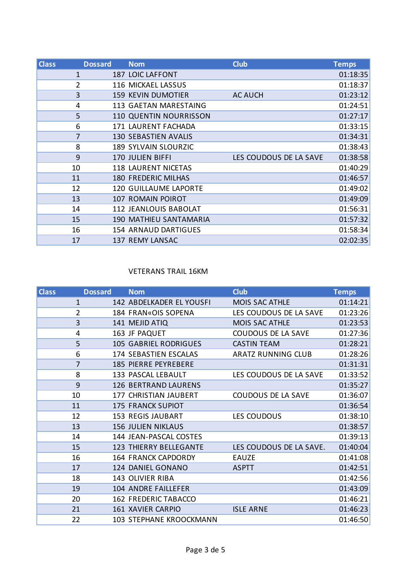| <b>Class</b>   | <b>Dossard</b> | <b>Nom</b>                    | <b>Club</b>            | <b>Temps</b> |
|----------------|----------------|-------------------------------|------------------------|--------------|
| 1              |                | <b>187 LOIC LAFFONT</b>       |                        | 01:18:35     |
| $\overline{2}$ |                | 116 MICKAEL LASSUS            |                        | 01:18:37     |
| 3              |                | <b>159 KEVIN DUMOTIER</b>     | <b>AC AUCH</b>         | 01:23:12     |
| 4              |                | <b>113 GAETAN MARESTAING</b>  |                        | 01:24:51     |
| 5              |                | <b>110 QUENTIN NOURRISSON</b> |                        | 01:27:17     |
| 6              |                | 171 LAURENT FACHADA           |                        | 01:33:15     |
|                | 7              | <b>130 SEBASTIEN AVALIS</b>   |                        | 01:34:31     |
| 8              |                | 189 SYLVAIN SLOURZIC          |                        | 01:38:43     |
| 9              |                | <b>170 JULIEN BIFFI</b>       | LES COUDOUS DE LA SAVE | 01:38:58     |
| 10             |                | <b>118 LAURENT NICETAS</b>    |                        | 01:40:29     |
| 11             |                | <b>180 FREDERIC MILHAS</b>    |                        | 01:46:57     |
| 12             |                | <b>120 GUILLAUME LAPORTE</b>  |                        | 01:49:02     |
| 13             |                | 107 ROMAIN POIROT             |                        | 01:49:09     |
| 14             |                | <b>112 JEANLOUIS BABOLAT</b>  |                        | 01:56:31     |
| 15             |                | <b>190 MATHIEU SANTAMARIA</b> |                        | 01:57:32     |
| 16             |                | 154 ARNAUD DARTIGUES          |                        | 01:58:34     |
| 17             |                | <b>137 REMY LANSAC</b>        |                        | 02:02:35     |

# VETERANS TRAIL 16KM

| <b>Class</b> | <b>Dossard</b> | <b>Nom</b>                    | <b>Club</b>               | <b>Temps</b> |
|--------------|----------------|-------------------------------|---------------------------|--------------|
|              | 1              | 142 ABDELKADER EL YOUSFI      | <b>MOIS SAC ATHLE</b>     | 01:14:21     |
|              | $\overline{2}$ | 184 FRAN«OIS SOPENA           | LES COUDOUS DE LA SAVE    | 01:23:26     |
|              | 3              | 141 MEJID ATIQ                | <b>MOIS SAC ATHLE</b>     | 01:23:53     |
|              | 4              | 163 JF PAQUET                 | <b>COUDOUS DE LA SAVE</b> | 01:27:36     |
|              | 5              | <b>105 GABRIEL RODRIGUES</b>  | <b>CASTIN TEAM</b>        | 01:28:21     |
|              | 6              | 174 SEBASTIEN ESCALAS         | <b>ARATZ RUNNING CLUB</b> | 01:28:26     |
|              | $\overline{7}$ | <b>185 PIERRE PEYREBERE</b>   |                           | 01:31:31     |
|              | 8              | 133 PASCAL LEBAULT            | LES COUDOUS DE LA SAVE    | 01:33:52     |
|              | 9              | <b>126 BERTRAND LAURENS</b>   |                           | 01:35:27     |
|              | 10             | 177 CHRISTIAN JAUBERT         | <b>COUDOUS DE LA SAVE</b> | 01:36:07     |
|              | 11             | <b>175 FRANCK SUPIOT</b>      |                           | 01:36:54     |
|              | 12             | <b>153 REGIS JAUBART</b>      | LES COUDOUS               | 01:38:10     |
|              | 13             | <b>156 JULIEN NIKLAUS</b>     |                           | 01:38:57     |
|              | 14             | 144 JEAN-PASCAL COSTES        |                           | 01:39:13     |
|              | 15             | <b>123 THIERRY BELLEGANTE</b> | LES COUDOUS DE LA SAVE.   | 01:40:04     |
|              | 16             | <b>164 FRANCK CAPDORDY</b>    | <b>EAUZE</b>              | 01:41:08     |
|              | 17             | 124 DANIEL GONANO             | <b>ASPTT</b>              | 01:42:51     |
|              | 18             | 143 OLIVIER RIBA              |                           | 01:42:56     |
|              | 19             | 104 ANDRE FAILLEFER           |                           | 01:43:09     |
|              | 20             | <b>162 FREDERIC TABACCO</b>   |                           | 01:46:21     |
|              | 21             | 161 XAVIER CARPIO             | <b>ISLE ARNE</b>          | 01:46:23     |
|              | 22             | 103 STEPHANE KROOCKMANN       |                           | 01:46:50     |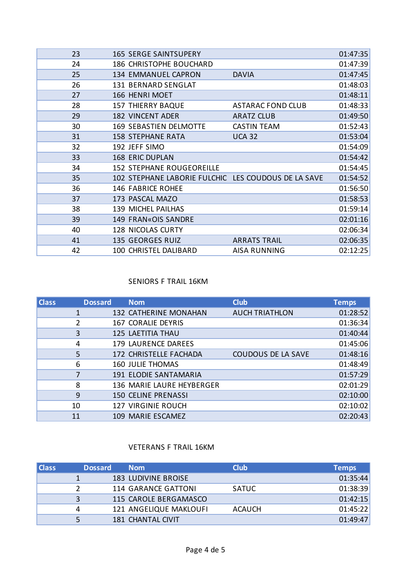| 23 | <b>165 SERGE SAINTSUPERY</b>                        |                          | 01:47:35 |
|----|-----------------------------------------------------|--------------------------|----------|
| 24 | 186 CHRISTOPHE BOUCHARD                             |                          | 01:47:39 |
| 25 | 134 EMMANUEL CAPRON                                 | <b>DAVIA</b>             | 01:47:45 |
| 26 | 131 BERNARD SENGLAT                                 |                          | 01:48:03 |
| 27 | 166 HENRI MOET                                      |                          | 01:48:11 |
| 28 | <b>157 THIERRY BAQUE</b>                            | <b>ASTARAC FOND CLUB</b> | 01:48:33 |
| 29 | <b>182 VINCENT ADER</b>                             | <b>ARATZ CLUB</b>        | 01:49:50 |
| 30 | <b>169 SEBASTIEN DELMOTTE</b>                       | <b>CASTIN TEAM</b>       | 01:52:43 |
| 31 | <b>158 STEPHANE RATA</b>                            | <b>UCA 32</b>            | 01:53:04 |
| 32 | 192 JEFF SIMO                                       |                          | 01:54:09 |
| 33 | <b>168 ERIC DUPLAN</b>                              |                          | 01:54:42 |
| 34 | <b>152 STEPHANE ROUGEOREILLE</b>                    |                          | 01:54:45 |
| 35 | 102 STEPHANE LABORIE FULCHIC LES COUDOUS DE LA SAVE |                          | 01:54:52 |
| 36 | <b>146 FABRICE ROHEE</b>                            |                          | 01:56:50 |
| 37 | 173 PASCAL MAZO                                     |                          | 01:58:53 |
| 38 | 139 MICHEL PAILHAS                                  |                          | 01:59:14 |
| 39 | 149 FRAN«OIS SANDRE                                 |                          | 02:01:16 |
| 40 | <b>128 NICOLAS CURTY</b>                            |                          | 02:06:34 |
| 41 | 135 GEORGES RUIZ                                    | <b>ARRATS TRAIL</b>      | 02:06:35 |
| 42 | 100 CHRISTEL DALIBARD                               | <b>AISA RUNNING</b>      | 02:12:25 |
|    |                                                     |                          |          |

#### SENIORS F TRAIL 16KM

| <b>Class</b> | <b>Dossard</b> | <b>Nom</b>                 | <b>Club</b>               | <b>Temps</b> |
|--------------|----------------|----------------------------|---------------------------|--------------|
|              |                | 132 CATHERINE MONAHAN      | <b>AUCH TRIATHLON</b>     | 01:28:52     |
|              | 2              | <b>167 CORALIE DEYRIS</b>  |                           | 01:36:34     |
|              | 3              | <b>125 LAETITIA THAU</b>   |                           | 01:40:44     |
| 4            |                | 179 LAURENCE DAREES        |                           | 01:45:06     |
|              | 5              | 172 CHRISTELLE FACHADA     | <b>COUDOUS DE LA SAVE</b> | 01:48:16     |
| 6            |                | <b>160 JULIE THOMAS</b>    |                           | 01:48:49     |
|              |                | 191 ELODIE SANTAMARIA      |                           | 01:57:29     |
| 8            |                | 136 MARIE LAURE HEYBERGER  |                           | 02:01:29     |
| 9            |                | <b>150 CELINE PRENASSI</b> |                           | 02:10:00     |
| 10           |                | <b>127 VIRGINIE ROUCH</b>  |                           | 02:10:02     |
| 11           |                | 109 MARIE ESCAMEZ          |                           | 02:20:43     |

#### VETERANS F TRAIL 16KM

| <b>Class</b> | <b>Dossard</b> | <b>Nom</b>                 | <b>Club</b>   | <b>Temps</b> |
|--------------|----------------|----------------------------|---------------|--------------|
|              |                | <b>183 LUDIVINE BROISE</b> |               | 01:35:44     |
|              |                | 114 GARANCE GATTONI        | <b>SATUC</b>  | 01:38:39     |
|              |                | 115 CAROLE BERGAMASCO      |               | 01:42:15     |
| Δ            |                | 121 ANGELIQUE MAKLOUFI     | <b>ACAUCH</b> | 01:45:22     |
|              |                | 181 CHANTAL CIVIT          |               | 01:49:47     |